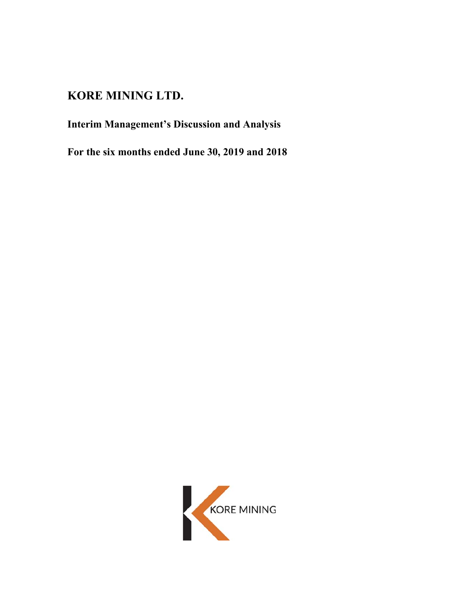# **KORE MINING LTD.**

# **Interim Management's Discussion and Analysis**

**For the six months ended June 30, 2019 and 2018** 

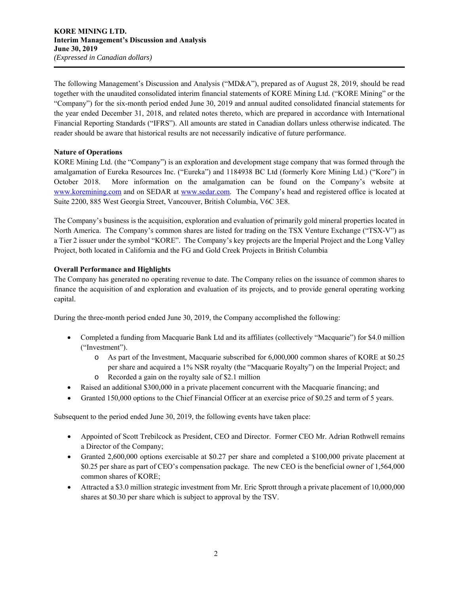The following Management's Discussion and Analysis ("MD&A"), prepared as of August 28, 2019, should be read together with the unaudited consolidated interim financial statements of KORE Mining Ltd. ("KORE Mining" or the "Company") for the six-month period ended June 30, 2019 and annual audited consolidated financial statements for the year ended December 31, 2018, and related notes thereto, which are prepared in accordance with International Financial Reporting Standards ("IFRS"). All amounts are stated in Canadian dollars unless otherwise indicated. The reader should be aware that historical results are not necessarily indicative of future performance.

# **Nature of Operations**

KORE Mining Ltd. (the "Company") is an exploration and development stage company that was formed through the amalgamation of Eureka Resources Inc. ("Eureka") and 1184938 BC Ltd (formerly Kore Mining Ltd.) ("Kore") in October 2018. More information on the amalgamation can be found on the Company's website at www.koremining.com and on SEDAR at www.sedar.com. The Company's head and registered office is located at Suite 2200, 885 West Georgia Street, Vancouver, British Columbia, V6C 3E8.

The Company's business is the acquisition, exploration and evaluation of primarily gold mineral properties located in North America. The Company's common shares are listed for trading on the TSX Venture Exchange ("TSX-V") as a Tier 2 issuer under the symbol "KORE". The Company's key projects are the Imperial Project and the Long Valley Project, both located in California and the FG and Gold Creek Projects in British Columbia

# **Overall Performance and Highlights**

The Company has generated no operating revenue to date. The Company relies on the issuance of common shares to finance the acquisition of and exploration and evaluation of its projects, and to provide general operating working capital.

During the three-month period ended June 30, 2019, the Company accomplished the following:

- Completed a funding from Macquarie Bank Ltd and its affiliates (collectively "Macquarie") for \$4.0 million ("Investment").
	- o As part of the Investment, Macquarie subscribed for 6,000,000 common shares of KORE at \$0.25 per share and acquired a 1% NSR royalty (the "Macquarie Royalty") on the Imperial Project; and
	- o Recorded a gain on the royalty sale of \$2.1 million
- Raised an additional \$300,000 in a private placement concurrent with the Macquarie financing; and
- Granted 150,000 options to the Chief Financial Officer at an exercise price of \$0.25 and term of 5 years.

Subsequent to the period ended June 30, 2019, the following events have taken place:

- Appointed of Scott Trebilcock as President, CEO and Director. Former CEO Mr. Adrian Rothwell remains a Director of the Company;
- Granted 2,600,000 options exercisable at \$0.27 per share and completed a \$100,000 private placement at \$0.25 per share as part of CEO's compensation package. The new CEO is the beneficial owner of 1,564,000 common shares of KORE;
- Attracted a \$3.0 million strategic investment from Mr. Eric Sprott through a private placement of 10,000,000 shares at \$0.30 per share which is subject to approval by the TSV.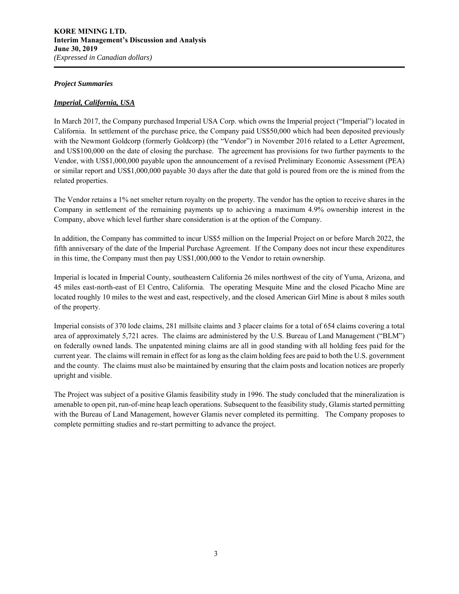### *Project Summaries*

## *Imperial, California, USA*

In March 2017, the Company purchased Imperial USA Corp. which owns the Imperial project ("Imperial") located in California. In settlement of the purchase price, the Company paid US\$50,000 which had been deposited previously with the Newmont Goldcorp (formerly Goldcorp) (the "Vendor") in November 2016 related to a Letter Agreement, and US\$100,000 on the date of closing the purchase. The agreement has provisions for two further payments to the Vendor, with US\$1,000,000 payable upon the announcement of a revised Preliminary Economic Assessment (PEA) or similar report and US\$1,000,000 payable 30 days after the date that gold is poured from ore the is mined from the related properties.

The Vendor retains a 1% net smelter return royalty on the property. The vendor has the option to receive shares in the Company in settlement of the remaining payments up to achieving a maximum 4.9% ownership interest in the Company, above which level further share consideration is at the option of the Company.

In addition, the Company has committed to incur US\$5 million on the Imperial Project on or before March 2022, the fifth anniversary of the date of the Imperial Purchase Agreement. If the Company does not incur these expenditures in this time, the Company must then pay US\$1,000,000 to the Vendor to retain ownership.

Imperial is located in Imperial County, southeastern California 26 miles northwest of the city of Yuma, Arizona, and 45 miles east-north-east of El Centro, California. The operating Mesquite Mine and the closed Picacho Mine are located roughly 10 miles to the west and east, respectively, and the closed American Girl Mine is about 8 miles south of the property.

Imperial consists of 370 lode claims, 281 millsite claims and 3 placer claims for a total of 654 claims covering a total area of approximately 5,721 acres. The claims are administered by the U.S. Bureau of Land Management ("BLM") on federally owned lands. The unpatented mining claims are all in good standing with all holding fees paid for the current year. The claims will remain in effect for as long as the claim holding fees are paid to both the U.S. government and the county. The claims must also be maintained by ensuring that the claim posts and location notices are properly upright and visible.

The Project was subject of a positive Glamis feasibility study in 1996. The study concluded that the mineralization is amenable to open pit, run-of-mine heap leach operations. Subsequent to the feasibility study, Glamis started permitting with the Bureau of Land Management, however Glamis never completed its permitting. The Company proposes to complete permitting studies and re-start permitting to advance the project.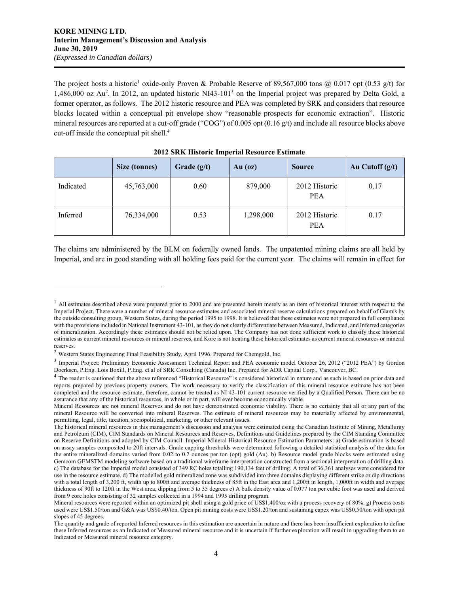$\overline{a}$ 

The project hosts a historic<sup>1</sup> oxide-only Proven & Probable Reserve of 89,567,000 tons @ 0.017 opt (0.53 g/t) for 1,486,000 oz Au<sup>2</sup>. In 2012, an updated historic NI43-101<sup>3</sup> on the Imperial project was prepared by Delta Gold, a former operator, as follows. The 2012 historic resource and PEA was completed by SRK and considers that resource blocks located within a conceptual pit envelope show "reasonable prospects for economic extraction". Historic mineral resources are reported at a cut-off grade ("COG") of 0.005 opt (0.16 g/t) and include all resource blocks above cut-off inside the conceptual pit shell.4

|           | Size (tonnes) | Grade $(g/t)$ | $Au$ (oz) | <b>Source</b>               | Au Cutoff $(g/t)$ |
|-----------|---------------|---------------|-----------|-----------------------------|-------------------|
| Indicated | 45,763,000    | 0.60          | 879,000   | 2012 Historic<br><b>PEA</b> | 0.17              |
| Inferred  | 76,334,000    | 0.53          | 1,298,000 | 2012 Historic<br><b>PEA</b> | 0.17              |

## **2012 SRK Historic Imperial Resource Estimate**

The claims are administered by the BLM on federally owned lands. The unpatented mining claims are all held by Imperial, and are in good standing with all holding fees paid for the current year. The claims will remain in effect for

 $<sup>1</sup>$  All estimates described above were prepared prior to 2000 and are presented herein merely as an item of historical interest with respect to the</sup> Imperial Project. There were a number of mineral resource estimates and associated mineral reserve calculations prepared on behalf of Glamis by the outside consulting group, Western States, during the period 1995 to 1998. It is believed that these estimates were not prepared in full compliance with the provisions included in National Instrument 43-101, as they do not clearly differentiate between Measured, Indicated, and Inferred categories of mineralization. Accordingly these estimates should not be relied upon. The Company has not done sufficient work to classify these historical estimates as current mineral resources or mineral reserves, and Kore is not treating these historical estimates as current mineral resources or mineral reserves.

<sup>2</sup> Western States Engineering Final Feasibility Study, April 1996. Prepared for Chemgold, Inc.

<sup>&</sup>lt;sup>3</sup> Imperial Project: Preliminary Economic Assessment Technical Report and PEA economic model October 26, 2012 ("2012 PEA") by Gordon Doerksen, P.Eng. Lois Boxill, P.Eng. et al of SRK Consulting (Canada) Inc. Prepared for ADR Capital Corp., Vancouver, BC.

<sup>&</sup>lt;sup>4</sup> The reader is cautioned that the above referenced "Historical Resource" is considered historical in nature and as such is based on prior data and reports prepared by previous property owners. The work necessary to verify the classification of this mineral resource estimate has not been completed and the resource estimate, therefore, cannot be treated as NI 43-101 current resource verified by a Qualified Person. There can be no assurance that any of the historical resources, in whole or in part, will ever become economically viable.

Mineral Resources are not mineral Reserves and do not have demonstrated economic viability. There is no certainty that all or any part of the mineral Resource will be converted into mineral Reserves. The estimate of mineral resources may be materially affected by environmental, permitting, legal, title, taxation, sociopolitical, marketing, or other relevant issues.

The historical mineral resources in this management's discussion and analysis were estimated using the Canadian Institute of Mining, Metallurgy and Petroleum (CIM), CIM Standards on Mineral Resources and Reserves, Definitions and Guidelines prepared by the CIM Standing Committee on Reserve Definitions and adopted by CIM Council. Imperial Mineral Historical Resource Estimation Parameters: a) Grade estimation is based on assay samples composited to 20ft intervals. Grade capping thresholds were determined following a detailed statistical analysis of the data for the entire mineralized domains varied from 0.02 to 0.2 ounces per ton (opt) gold (Au). b) Resource model grade blocks were estimated using Gemcom GEMSTM modeling software based on a traditional wireframe interpretation constructed from a sectional interpretation of drilling data. c) The database for the Imperial model consisted of 349 RC holes totalling 190,134 feet of drilling. A total of 36,361 analyses were considered for use in the resource estimate. d) The modelled gold mineralized zone was subdivided into three domains displaying different strike or dip directions with a total length of 3,200 ft, width up to 800ft and average thickness of 85ft in the East area and 1,200ft in length, 1,000ft in width and average thickness of 90ft to 120ft in the West area, dipping from 5 to 35 degrees e) A bulk density value of 0.077 ton per cubic foot was used and derived from 9 core holes consisting of 32 samples collected in a 1994 and 1995 drilling program.

Mineral resources were reported within an optimized pit shell using a gold price of US\$1,400/oz with a process recovery of 80%. g) Process costs used were US\$1.50/ton and G&A was US\$0.40/ton. Open pit mining costs were US\$1.20/ton and sustaining capex was US\$0.50/ton with open pit slopes of 45 degrees.

The quantity and grade of reported Inferred resources in this estimation are uncertain in nature and there has been insufficient exploration to define these Inferred resources as an Indicated or Measured mineral resource and it is uncertain if further exploration will result in upgrading them to an Indicated or Measured mineral resource category.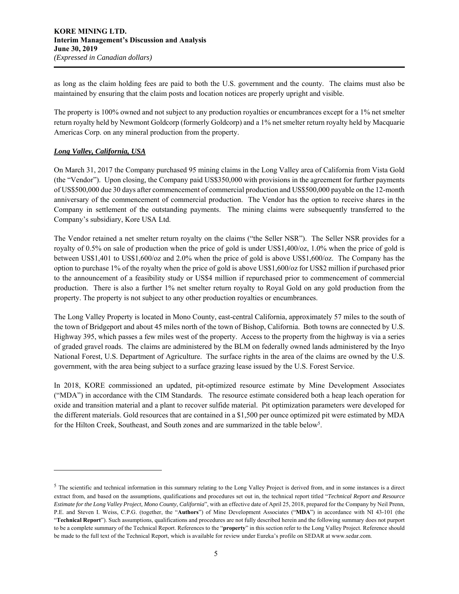as long as the claim holding fees are paid to both the U.S. government and the county. The claims must also be maintained by ensuring that the claim posts and location notices are properly upright and visible.

The property is 100% owned and not subject to any production royalties or encumbrances except for a 1% net smelter return royalty held by Newmont Goldcorp (formerly Goldcorp) and a 1% net smelter return royalty held by Macquarie Americas Corp. on any mineral production from the property.

# *Long Valley, California, USA*

1

On March 31, 2017 the Company purchased 95 mining claims in the Long Valley area of California from Vista Gold (the "Vendor"). Upon closing, the Company paid US\$350,000 with provisions in the agreement for further payments of US\$500,000 due 30 days after commencement of commercial production and US\$500,000 payable on the 12-month anniversary of the commencement of commercial production. The Vendor has the option to receive shares in the Company in settlement of the outstanding payments. The mining claims were subsequently transferred to the Company's subsidiary, Kore USA Ltd.

The Vendor retained a net smelter return royalty on the claims ("the Seller NSR"). The Seller NSR provides for a royalty of 0.5% on sale of production when the price of gold is under US\$1,400/oz, 1.0% when the price of gold is between US\$1,401 to US\$1,600/oz and 2.0% when the price of gold is above US\$1,600/oz. The Company has the option to purchase 1% of the royalty when the price of gold is above US\$1,600/oz for US\$2 million if purchased prior to the announcement of a feasibility study or US\$4 million if repurchased prior to commencement of commercial production. There is also a further 1% net smelter return royalty to Royal Gold on any gold production from the property. The property is not subject to any other production royalties or encumbrances.

The Long Valley Property is located in Mono County, east-central California, approximately 57 miles to the south of the town of Bridgeport and about 45 miles north of the town of Bishop, California. Both towns are connected by U.S. Highway 395, which passes a few miles west of the property. Access to the property from the highway is via a series of graded gravel roads. The claims are administered by the BLM on federally owned lands administered by the Inyo National Forest, U.S. Department of Agriculture. The surface rights in the area of the claims are owned by the U.S. government, with the area being subject to a surface grazing lease issued by the U.S. Forest Service.

In 2018, KORE commissioned an updated, pit-optimized resource estimate by Mine Development Associates ("MDA") in accordance with the CIM Standards. The resource estimate considered both a heap leach operation for oxide and transition material and a plant to recover sulfide material. Pit optimization parameters were developed for the different materials. Gold resources that are contained in a \$1,500 per ounce optimized pit were estimated by MDA for the Hilton Creek, Southeast, and South zones and are summarized in the table below<sup>5</sup>.

<sup>&</sup>lt;sup>5</sup> The scientific and technical information in this summary relating to the Long Valley Project is derived from, and in some instances is a direct extract from, and based on the assumptions, qualifications and procedures set out in, the technical report titled "*Technical Report and Resource Estimate for the Long Valley Project, Mono County, California*", with an effective date of April 25, 2018, prepared for the Company by Neil Prenn, P.E. and Steven I. Weiss, C.P.G. (together, the "**Authors**") of Mine Development Associates ("**MDA**") in accordance with NI 43-101 (the "**Technical Report**"). Such assumptions, qualifications and procedures are not fully described herein and the following summary does not purport to be a complete summary of the Technical Report. References to the "**property**" in this section refer to the Long Valley Project. Reference should be made to the full text of the Technical Report, which is available for review under Eureka's profile on SEDAR at www.sedar.com.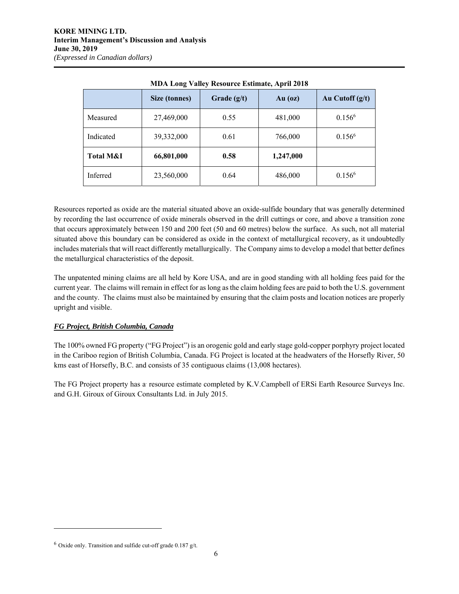|                      | Size (tonnes) | Grade $(g/t)$ | Au $(oz)$ | Au Cutoff $(g/t)$ |
|----------------------|---------------|---------------|-----------|-------------------|
| Measured             | 27,469,000    | 0.55          | 481,000   | $0.156^{6}$       |
| Indicated            | 39,332,000    | 0.61          | 766,000   | $0.156^6$         |
| <b>Total M&amp;I</b> | 66,801,000    | 0.58          | 1,247,000 |                   |
| Inferred             | 23,560,000    | 0.64          | 486,000   | $0.156^{6}$       |

**MDA Long Valley Resource Estimate, April 2018** 

Resources reported as oxide are the material situated above an oxide-sulfide boundary that was generally determined by recording the last occurrence of oxide minerals observed in the drill cuttings or core, and above a transition zone that occurs approximately between 150 and 200 feet (50 and 60 metres) below the surface. As such, not all material situated above this boundary can be considered as oxide in the context of metallurgical recovery, as it undoubtedly includes materials that will react differently metallurgically. The Company aims to develop a model that better defines the metallurgical characteristics of the deposit.

The unpatented mining claims are all held by Kore USA, and are in good standing with all holding fees paid for the current year. The claims will remain in effect for as long as the claim holding fees are paid to both the U.S. government and the county. The claims must also be maintained by ensuring that the claim posts and location notices are properly upright and visible.

# *FG Project, British Columbia, Canada*

The 100% owned FG property ("FG Project") is an orogenic gold and early stage gold-copper porphyry project located in the Cariboo region of British Columbia, Canada. FG Project is located at the headwaters of the Horsefly River, 50 kms east of Horsefly, B.C. and consists of 35 contiguous claims (13,008 hectares).

The FG Project property has a resource estimate completed by K.V.Campbell of ERSi Earth Resource Surveys Inc. and G.H. Giroux of Giroux Consultants Ltd. in July 2015.

 $\overline{a}$ 

 $6$  Oxide only. Transition and sulfide cut-off grade 0.187 g/t.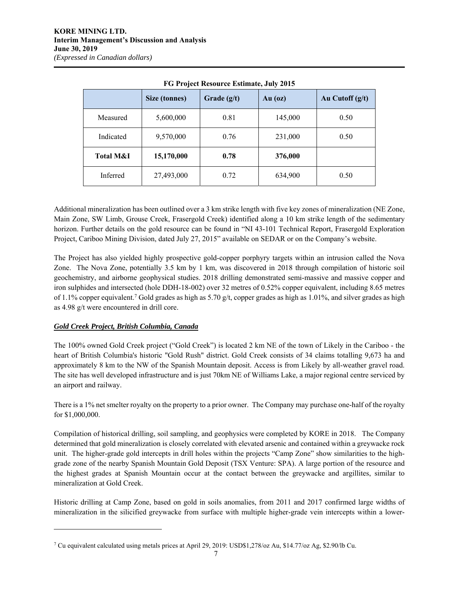|                      | <b>Size (tonnes)</b> | Grade $(g/t)$ | $Au$ (oz) | Au Cutoff $(g/t)$ |
|----------------------|----------------------|---------------|-----------|-------------------|
| Measured             | 5,600,000            | 0.81          | 145,000   | 0.50              |
| Indicated            | 9,570,000            | 0.76          | 231,000   | 0.50              |
| <b>Total M&amp;I</b> | 15,170,000           | 0.78          | 376,000   |                   |
| Inferred             | 27,493,000           | 0.72          | 634,900   | 0.50              |

**FG Project Resource Estimate, July 2015** 

Additional mineralization has been outlined over a 3 km strike length with five key zones of mineralization (NE Zone, Main Zone, SW Limb, Grouse Creek, Frasergold Creek) identified along a 10 km strike length of the sedimentary horizon. Further details on the gold resource can be found in "NI 43-101 Technical Report, Frasergold Exploration Project, Cariboo Mining Division, dated July 27, 2015" available on SEDAR or on the Company's website.

The Project has also yielded highly prospective gold-copper porphyry targets within an intrusion called the Nova Zone. The Nova Zone, potentially 3.5 km by 1 km, was discovered in 2018 through compilation of historic soil geochemistry, and airborne geophysical studies. 2018 drilling demonstrated semi-massive and massive copper and iron sulphides and intersected (hole DDH-18-002) over 32 metres of 0.52% copper equivalent, including 8.65 metres of 1.1% copper equivalent.<sup>7</sup> Gold grades as high as 5.70  $g/t$ , copper grades as high as 1.01%, and silver grades as high as 4.98 g/t were encountered in drill core.

# *Gold Creek Project, British Columbia, Canada*

 $\overline{a}$ 

The 100% owned Gold Creek project ("Gold Creek") is located 2 km NE of the town of Likely in the Cariboo - the heart of British Columbia's historic "Gold Rush" district. Gold Creek consists of 34 claims totalling 9,673 ha and approximately 8 km to the NW of the Spanish Mountain deposit. Access is from Likely by all-weather gravel road. The site has well developed infrastructure and is just 70km NE of Williams Lake, a major regional centre serviced by an airport and railway.

There is a 1% net smelter royalty on the property to a prior owner. The Company may purchase one-half of the royalty for \$1,000,000.

Compilation of historical drilling, soil sampling, and geophysics were completed by KORE in 2018. The Company determined that gold mineralization is closely correlated with elevated arsenic and contained within a greywacke rock unit. The higher-grade gold intercepts in drill holes within the projects "Camp Zone" show similarities to the highgrade zone of the nearby Spanish Mountain Gold Deposit (TSX Venture: SPA). A large portion of the resource and the highest grades at Spanish Mountain occur at the contact between the greywacke and argillites, similar to mineralization at Gold Creek.

Historic drilling at Camp Zone, based on gold in soils anomalies, from 2011 and 2017 confirmed large widths of mineralization in the silicified greywacke from surface with multiple higher-grade vein intercepts within a lower-

<sup>7</sup> Cu equivalent calculated using metals prices at April 29, 2019: USD\$1,278/oz Au, \$14.77/oz Ag, \$2.90/lb Cu.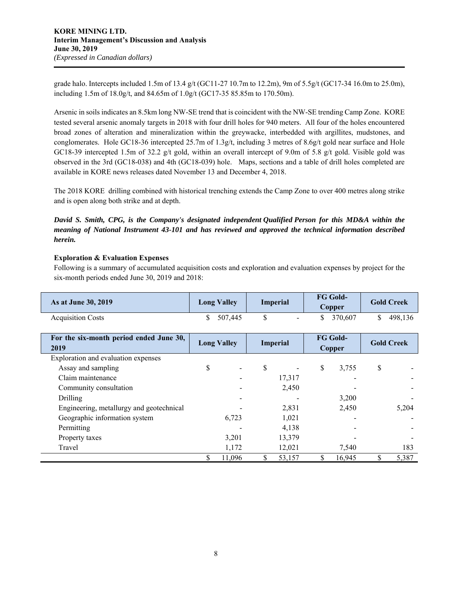grade halo. Intercepts included 1.5m of 13.4 g/t (GC11-27 10.7m to 12.2m), 9m of 5.5g/t (GC17-34 16.0m to 25.0m), including 1.5m of 18.0g/t, and 84.65m of 1.0g/t (GC17-35 85.85m to 170.50m).

Arsenic in soils indicates an 8.5km long NW-SE trend that is coincident with the NW-SE trending Camp Zone. KORE tested several arsenic anomaly targets in 2018 with four drill holes for 940 meters. All four of the holes encountered broad zones of alteration and mineralization within the greywacke, interbedded with argillites, mudstones, and conglomerates. Hole GC18-36 intercepted 25.7m of 1.3g/t, including 3 metres of 8.6g/t gold near surface and Hole GC18-39 intercepted 1.5m of 32.2 g/t gold, within an overall intercept of 9.0m of 5.8 g/t gold. Visible gold was observed in the 3rd (GC18-038) and 4th (GC18-039) hole. Maps, sections and a table of drill holes completed are available in KORE news releases dated November 13 and December 4, 2018.

The 2018 KORE drilling combined with historical trenching extends the Camp Zone to over 400 metres along strike and is open along both strike and at depth.

*David S. Smith, CPG, is the Company's designated independent Qualified Person for this MD&A within the meaning of National Instrument 43-101 and has reviewed and approved the technical information described herein.*

# **Exploration & Evaluation Expenses**

Following is a summary of accumulated acquisition costs and exploration and evaluation expenses by project for the six-month periods ended June 30, 2019 and 2018:

| As at June 30, 2019      | <b>Long Valley</b> | Imperial                 | <b>FG Gold-</b><br>Copper | <b>Gold Creek</b> |
|--------------------------|--------------------|--------------------------|---------------------------|-------------------|
| <b>Acquisition Costs</b> | 507,445            | $\overline{\phantom{a}}$ | 370.607                   | 498.136           |

| For the six-month period ended June 30,<br>2019 |  | <b>Long Valley</b> | <b>Imperial</b> | <b>FG Gold-</b><br>Copper |   | <b>Gold Creek</b> |
|-------------------------------------------------|--|--------------------|-----------------|---------------------------|---|-------------------|
| Exploration and evaluation expenses             |  |                    |                 |                           |   |                   |
| Assay and sampling                              |  | ۰                  | \$              | \$<br>3,755               | S |                   |
| Claim maintenance                               |  |                    | 17,317          |                           |   |                   |
| Community consultation                          |  |                    | 2,450           |                           |   |                   |
| Drilling                                        |  |                    |                 | 3,200                     |   |                   |
| Engineering, metallurgy and geotechnical        |  |                    | 2,831           | 2,450                     |   | 5,204             |
| Geographic information system                   |  | 6,723              | 1,021           |                           |   |                   |
| Permitting                                      |  |                    | 4,138           |                           |   |                   |
| Property taxes                                  |  | 3.201              | 13,379          |                           |   |                   |
| Travel                                          |  | 1,172              | 12,021          | 7.540                     |   | 183               |
|                                                 |  | 11.096             | 53,157          | 16.945                    |   | 5,387             |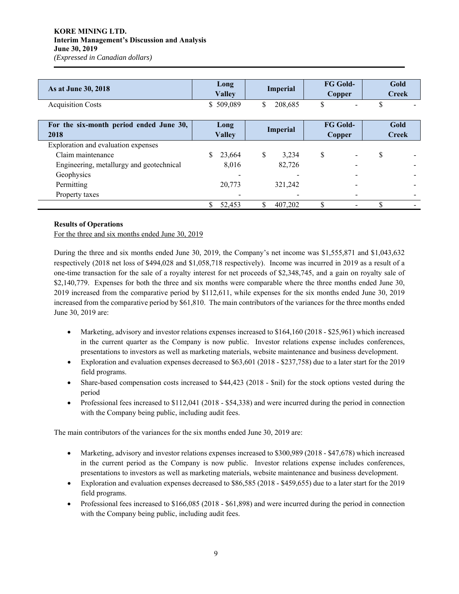## **KORE MINING LTD. Interim Management's Discussion and Analysis June 30, 2019**  *(Expressed in Canadian dollars)*

| As at June 30, 2018                             | Long<br><b>Valley</b>             | <b>Imperial</b>          | <b>FG Gold-</b><br>Copper | Gold<br><b>Creek</b> |  |
|-------------------------------------------------|-----------------------------------|--------------------------|---------------------------|----------------------|--|
| <b>Acquisition Costs</b>                        | \$509,089                         | \$<br>208,685            | \$                        |                      |  |
| For the six-month period ended June 30,<br>2018 | Long<br>Imperial<br><b>Valley</b> |                          | <b>FG Gold-</b><br>Copper | Gold<br><b>Creek</b> |  |
| Exploration and evaluation expenses             |                                   |                          |                           |                      |  |
| Claim maintenance                               | 23,664                            | \$<br>3.234              | \$                        | S                    |  |
| Engineering, metallurgy and geotechnical        | 8,016                             | 82,726                   |                           |                      |  |
| Geophysics                                      |                                   | $\overline{\phantom{a}}$ |                           |                      |  |
| Permitting                                      | 20,773                            | 321,242                  |                           |                      |  |
| Property taxes                                  |                                   |                          |                           |                      |  |
|                                                 | 52,453                            | 407,202                  | \$                        |                      |  |

## **Results of Operations**

For the three and six months ended June 30, 2019

During the three and six months ended June 30, 2019, the Company's net income was \$1,555,871 and \$1,043,632 respectively (2018 net loss of \$494,028 and \$1,058,718 respectively). Income was incurred in 2019 as a result of a one-time transaction for the sale of a royalty interest for net proceeds of \$2,348,745, and a gain on royalty sale of \$2,140,779. Expenses for both the three and six months were comparable where the three months ended June 30, 2019 increased from the comparative period by \$112,611, while expenses for the six months ended June 30, 2019 increased from the comparative period by \$61,810. The main contributors of the variances for the three months ended June 30, 2019 are:

- Marketing, advisory and investor relations expenses increased to \$164,160 (2018 \$25,961) which increased in the current quarter as the Company is now public. Investor relations expense includes conferences, presentations to investors as well as marketing materials, website maintenance and business development.
- Exploration and evaluation expenses decreased to \$63,601 (2018 \$237,758) due to a later start for the 2019 field programs.
- Share-based compensation costs increased to \$44,423 (2018 \$nil) for the stock options vested during the period
- Professional fees increased to \$112,041 (2018 \$54,338) and were incurred during the period in connection with the Company being public, including audit fees.

The main contributors of the variances for the six months ended June 30, 2019 are:

- Marketing, advisory and investor relations expenses increased to \$300,989 (2018 \$47,678) which increased in the current period as the Company is now public. Investor relations expense includes conferences, presentations to investors as well as marketing materials, website maintenance and business development.
- Exploration and evaluation expenses decreased to \$86,585 (2018 \$459,655) due to a later start for the 2019 field programs.
- Professional fees increased to \$166,085 (2018 \$61,898) and were incurred during the period in connection with the Company being public, including audit fees.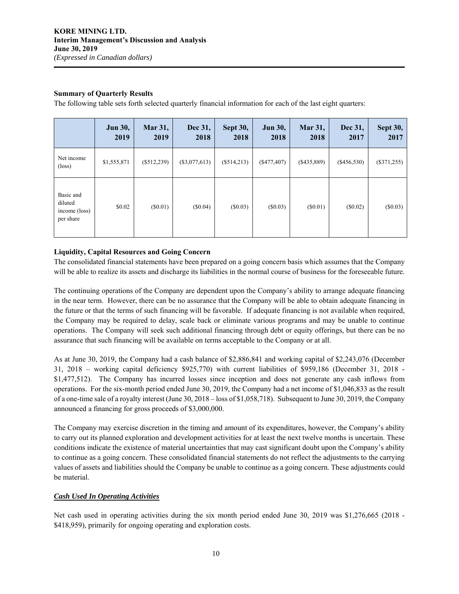## **Summary of Quarterly Results**

The following table sets forth selected quarterly financial information for each of the last eight quarters:

|                                                    | <b>Jun 30,</b><br>2019 | <b>Mar 31,</b><br>2019 | Dec 31,<br>2018 | <b>Sept 30,</b><br>2018 | <b>Jun 30,</b><br>2018 | <b>Mar 31,</b><br>2018 | Dec 31,<br>2017 | Sept 30,<br>2017 |
|----------------------------------------------------|------------------------|------------------------|-----------------|-------------------------|------------------------|------------------------|-----------------|------------------|
| Net income<br>$(\text{loss})$                      | \$1,555,871            | $(\$512,239)$          | $(\$3,077,613)$ | $(\$514,213)$           | $(\$477,407)$          | $(\$435,889)$          | $(\$456,530)$   | $(\$371,255)$    |
| Basic and<br>diluted<br>income (loss)<br>per share | \$0.02                 | $(\$0.01)$             | (S0.04)         | $(\$0.03)$              | $(\$0.03)$             | $(\$0.01)$             | $(\$0.02)$      | (\$0.03)         |

## **Liquidity, Capital Resources and Going Concern**

The consolidated financial statements have been prepared on a going concern basis which assumes that the Company will be able to realize its assets and discharge its liabilities in the normal course of business for the foreseeable future.

The continuing operations of the Company are dependent upon the Company's ability to arrange adequate financing in the near term. However, there can be no assurance that the Company will be able to obtain adequate financing in the future or that the terms of such financing will be favorable. If adequate financing is not available when required, the Company may be required to delay, scale back or eliminate various programs and may be unable to continue operations. The Company will seek such additional financing through debt or equity offerings, but there can be no assurance that such financing will be available on terms acceptable to the Company or at all.

As at June 30, 2019, the Company had a cash balance of \$2,886,841 and working capital of \$2,243,076 (December 31, 2018 – working capital deficiency \$925,770) with current liabilities of \$959,186 (December 31, 2018 - \$1,477,512). The Company has incurred losses since inception and does not generate any cash inflows from operations. For the six-month period ended June 30, 2019, the Company had a net income of \$1,046,833 as the result of a one-time sale of a royalty interest (June 30, 2018 – loss of \$1,058,718). Subsequent to June 30, 2019, the Company announced a financing for gross proceeds of \$3,000,000.

The Company may exercise discretion in the timing and amount of its expenditures, however, the Company's ability to carry out its planned exploration and development activities for at least the next twelve months is uncertain. These conditions indicate the existence of material uncertainties that may cast significant doubt upon the Company's ability to continue as a going concern. These consolidated financial statements do not reflect the adjustments to the carrying values of assets and liabilities should the Company be unable to continue as a going concern. These adjustments could be material.

## *Cash Used In Operating Activities*

Net cash used in operating activities during the six month period ended June 30, 2019 was \$1,276,665 (2018 - \$418,959), primarily for ongoing operating and exploration costs.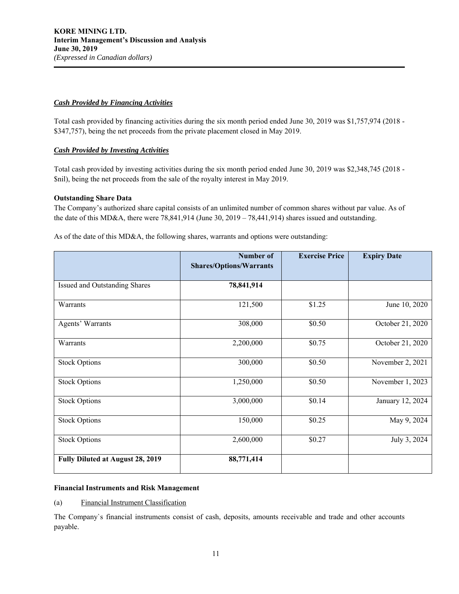## *Cash Provided by Financing Activities*

Total cash provided by financing activities during the six month period ended June 30, 2019 was \$1,757,974 (2018 - \$347,757), being the net proceeds from the private placement closed in May 2019.

# *Cash Provided by Investing Activities*

Total cash provided by investing activities during the six month period ended June 30, 2019 was \$2,348,745 (2018 - \$nil), being the net proceeds from the sale of the royalty interest in May 2019.

## **Outstanding Share Data**

The Company's authorized share capital consists of an unlimited number of common shares without par value. As of the date of this MD&A, there were 78,841,914 (June 30, 2019 – 78,441,914) shares issued and outstanding.

As of the date of this MD&A, the following shares, warrants and options were outstanding:

|                                  | <b>Number of</b>               | <b>Exercise Price</b> | <b>Expiry Date</b> |
|----------------------------------|--------------------------------|-----------------------|--------------------|
|                                  | <b>Shares/Options/Warrants</b> |                       |                    |
| Issued and Outstanding Shares    | 78,841,914                     |                       |                    |
| Warrants                         | 121,500                        | \$1.25                | June 10, 2020      |
| Agents' Warrants                 | 308,000                        | \$0.50                | October 21, 2020   |
| Warrants                         | 2,200,000                      | \$0.75                | October 21, 2020   |
| <b>Stock Options</b>             | 300,000                        | \$0.50                | November 2, 2021   |
| <b>Stock Options</b>             | 1,250,000                      | \$0.50                | November 1, 2023   |
| <b>Stock Options</b>             | 3,000,000                      | \$0.14                | January 12, 2024   |
| <b>Stock Options</b>             | 150,000                        | \$0.25                | May 9, 2024        |
| <b>Stock Options</b>             | 2,600,000                      | \$0.27                | July 3, 2024       |
| Fully Diluted at August 28, 2019 | 88,771,414                     |                       |                    |

## **Financial Instruments and Risk Management**

(a) Financial Instrument Classification

The Company`s financial instruments consist of cash, deposits, amounts receivable and trade and other accounts payable.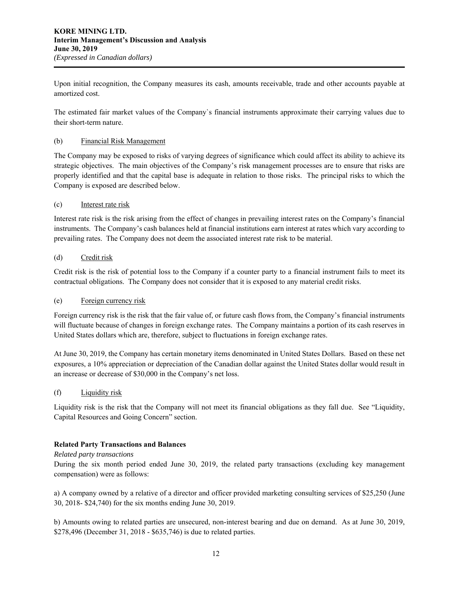Upon initial recognition, the Company measures its cash, amounts receivable, trade and other accounts payable at amortized cost.

The estimated fair market values of the Company`s financial instruments approximate their carrying values due to their short-term nature.

## (b) Financial Risk Management

The Company may be exposed to risks of varying degrees of significance which could affect its ability to achieve its strategic objectives. The main objectives of the Company's risk management processes are to ensure that risks are properly identified and that the capital base is adequate in relation to those risks. The principal risks to which the Company is exposed are described below.

## (c) Interest rate risk

Interest rate risk is the risk arising from the effect of changes in prevailing interest rates on the Company's financial instruments. The Company's cash balances held at financial institutions earn interest at rates which vary according to prevailing rates. The Company does not deem the associated interest rate risk to be material.

## (d) Credit risk

Credit risk is the risk of potential loss to the Company if a counter party to a financial instrument fails to meet its contractual obligations. The Company does not consider that it is exposed to any material credit risks.

## (e) Foreign currency risk

Foreign currency risk is the risk that the fair value of, or future cash flows from, the Company's financial instruments will fluctuate because of changes in foreign exchange rates. The Company maintains a portion of its cash reserves in United States dollars which are, therefore, subject to fluctuations in foreign exchange rates.

At June 30, 2019, the Company has certain monetary items denominated in United States Dollars. Based on these net exposures, a 10% appreciation or depreciation of the Canadian dollar against the United States dollar would result in an increase or decrease of \$30,000 in the Company's net loss.

## (f) Liquidity risk

Liquidity risk is the risk that the Company will not meet its financial obligations as they fall due. See "Liquidity, Capital Resources and Going Concern" section.

## **Related Party Transactions and Balances**

#### *Related party transactions*

During the six month period ended June 30, 2019, the related party transactions (excluding key management compensation) were as follows:

a) A company owned by a relative of a director and officer provided marketing consulting services of \$25,250 (June 30, 2018- \$24,740) for the six months ending June 30, 2019.

b) Amounts owing to related parties are unsecured, non-interest bearing and due on demand. As at June 30, 2019, \$278,496 (December 31, 2018 - \$635,746) is due to related parties.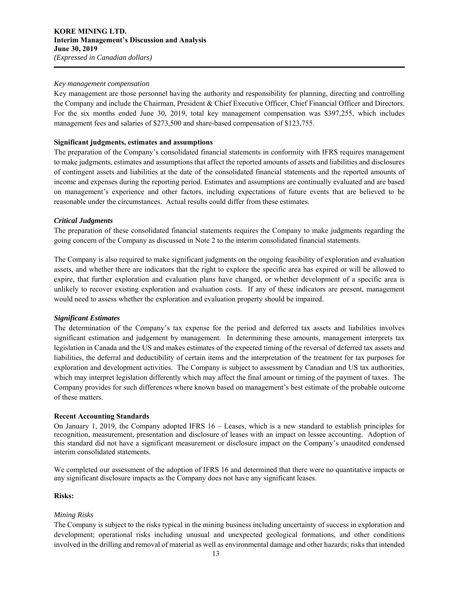### *Key management compensation*

Key management are those personnel having the authority and responsibility for planning, directing and controlling the Company and include the Chairman, President & Chief Executive Officer, Chief Financial Officer and Directors. For the six months ended June 30, 2019, total key management compensation was \$397,255, which includes management fees and salaries of \$273,500 and share-based compensation of \$123,755.

## **Significant judgments, estimates and assumptions**

The preparation of the Company's consolidated financial statements in conformity with IFRS requires management to make judgments, estimates and assumptions that affect the reported amounts of assets and liabilities and disclosures of contingent assets and liabilities at the date of the consolidated financial statements and the reported amounts of income and expenses during the reporting period. Estimates and assumptions are continually evaluated and are based on management's experience and other factors, including expectations of future events that are believed to be reasonable under the circumstances. Actual results could differ from these estimates.

## *Critical Judgments*

The preparation of these consolidated financial statements requires the Company to make judgments regarding the going concern of the Company as discussed in Note 2 to the interim consolidated financial statements.

The Company is also required to make significant judgments on the ongoing feasibility of exploration and evaluation assets, and whether there are indicators that the right to explore the specific area has expired or will be allowed to expire, that further exploration and evaluation plans have changed, or whether development of a specific area is unlikely to recover existing exploration and evaluation costs. If any of these indicators are present, management would need to assess whether the exploration and evaluation property should be impaired.

#### *Significant Estimates*

The determination of the Company's tax expense for the period and deferred tax assets and liabilities involves significant estimation and judgement by management. In determining these amounts, management interprets tax legislation in Canada and the US and makes estimates of the expected timing of the reversal of deferred tax assets and liabilities, the deferral and deductibility of certain items and the interpretation of the treatment for tax purposes for exploration and development activities. The Company is subject to assessment by Canadian and US tax authorities, which may interpret legislation differently which may affect the final amount or timing of the payment of taxes. The Company provides for such differences where known based on management's best estimate of the probable outcome of these matters.

### **Recent Accounting Standards**

On January 1, 2019, the Company adopted IFRS 16 – Leases, which is a new standard to establish principles for recognition, measurement, presentation and disclosure of leases with an impact on lessee accounting. Adoption of this standard did not have a significant measurement or disclosure impact on the Company's unaudited condensed interim consolidated statements.

We completed our assessment of the adoption of IFRS 16 and determined that there were no quantitative impacts or any significant disclosure impacts as the Company does not have any significant leases.

#### **Risks:**

#### *Mining Risks*

The Company is subject to the risks typical in the mining business including uncertainty of success in exploration and development; operational risks including unusual and unexpected geological formations, and other conditions involved in the drilling and removal of material as well as environmental damage and other hazards; risks that intended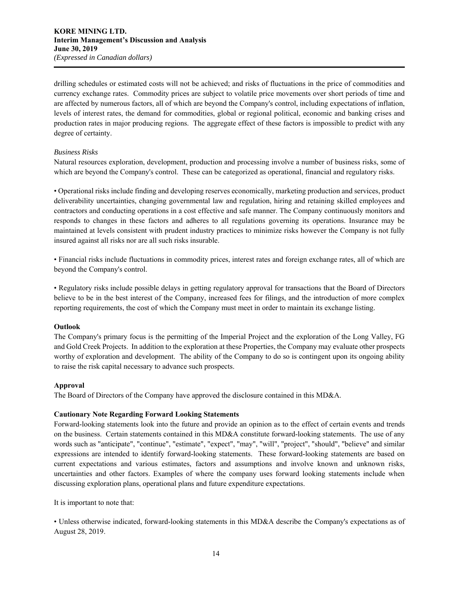drilling schedules or estimated costs will not be achieved; and risks of fluctuations in the price of commodities and currency exchange rates. Commodity prices are subject to volatile price movements over short periods of time and are affected by numerous factors, all of which are beyond the Company's control, including expectations of inflation, levels of interest rates, the demand for commodities, global or regional political, economic and banking crises and production rates in major producing regions. The aggregate effect of these factors is impossible to predict with any degree of certainty.

## *Business Risks*

Natural resources exploration, development, production and processing involve a number of business risks, some of which are beyond the Company's control. These can be categorized as operational, financial and regulatory risks.

• Operational risks include finding and developing reserves economically, marketing production and services, product deliverability uncertainties, changing governmental law and regulation, hiring and retaining skilled employees and contractors and conducting operations in a cost effective and safe manner. The Company continuously monitors and responds to changes in these factors and adheres to all regulations governing its operations. Insurance may be maintained at levels consistent with prudent industry practices to minimize risks however the Company is not fully insured against all risks nor are all such risks insurable.

• Financial risks include fluctuations in commodity prices, interest rates and foreign exchange rates, all of which are beyond the Company's control.

• Regulatory risks include possible delays in getting regulatory approval for transactions that the Board of Directors believe to be in the best interest of the Company, increased fees for filings, and the introduction of more complex reporting requirements, the cost of which the Company must meet in order to maintain its exchange listing.

#### **Outlook**

The Company's primary focus is the permitting of the Imperial Project and the exploration of the Long Valley, FG and Gold Creek Projects. In addition to the exploration at these Properties, the Company may evaluate other prospects worthy of exploration and development. The ability of the Company to do so is contingent upon its ongoing ability to raise the risk capital necessary to advance such prospects.

## **Approval**

The Board of Directors of the Company have approved the disclosure contained in this MD&A.

#### **Cautionary Note Regarding Forward Looking Statements**

Forward-looking statements look into the future and provide an opinion as to the effect of certain events and trends on the business. Certain statements contained in this MD&A constitute forward-looking statements. The use of any words such as "anticipate", "continue", "estimate", "expect", "may", "will", "project", "should", "believe" and similar expressions are intended to identify forward-looking statements. These forward-looking statements are based on current expectations and various estimates, factors and assumptions and involve known and unknown risks, uncertainties and other factors. Examples of where the company uses forward looking statements include when discussing exploration plans, operational plans and future expenditure expectations.

It is important to note that:

• Unless otherwise indicated, forward-looking statements in this MD&A describe the Company's expectations as of August 28, 2019.